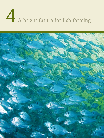# A bright future for fish farming

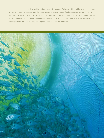**> It is highly unlikely that wild capture fisheries will be able to produce higher yields in future. For aquaculture the opposite is the case. No other food production sector has grown as fast over the past 20 years. Abuses such as antibiotics in fish feed and the over-fertilization of marine waters, however, have brought the industry into disrepute. It must now prove that large-scale fish farming is possible without placing unacceptable demands on the environment.**

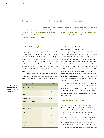# Aquaculture – protein provider for the world

 **> During the 1970s aquaculture was a relatively insignificant industry, but today it is almost as productive as the ocean fishing sector. About 600 aquatic species are now raised in captivity, with different species being preferred for different regions. Experts predict that the importance of fish farming will increase even more in the future, because it has clear advantages over beef and pork production.**

## **Fish for 9 billion people**

The global population is growing at a breathtaking pace. In 1950 the world had a total of 2.5 billion people, a figure that had burgeoned to 7 billion by 2012. According to United Nations estimates, this number could exceed the 9 billion mark by mid-century. As populations increase, so too does the need for food. Fish is a widespread, affordable and healthy source of valuable protein. There is no question, therefore, that the global demand for fish will intensify in future.

When we consider that the amount of wild-captured fish has not increased in recent years, only one alternative remains: fish farming, or aquaculture, must fill the gap. Is

**4.1 > No other food production sector has achieved such high growth rates as aquaculture in the past 40 years.**

| Average annual production increase (1970 to 2008) |      |  |  |  |
|---------------------------------------------------|------|--|--|--|
| <b>Plant Food Commodities</b>                     |      |  |  |  |
| Cereals                                           | 2.1% |  |  |  |
| <b>Pulses</b>                                     | 1.1% |  |  |  |
| Roots and tubers<br>0.9%                          |      |  |  |  |
| Vegetables and melons<br>3.4%                     |      |  |  |  |
| Animal food commodities                           |      |  |  |  |
| Beef and buffalo                                  | 1.3% |  |  |  |
| Eggs                                              | 3.2% |  |  |  |
| Milk                                              | 1.5% |  |  |  |
| Poultry                                           | 5.0% |  |  |  |
| Sheep and goats                                   | 1.8% |  |  |  |
| Fish                                              | 8.4% |  |  |  |

it capable of doing so? This is the question many scientists around the world are trying to answer.

For many years aquaculture played a relatively minor role in global fish production, but its significance has increased dramatically over the past 20 years, spurred by the demand from Asia's fast-growing populations. Today, aquaculture makes a major contribution to human nutrition. For example, it provides a large proportion of the animal protein consumed in China, Bangladesh and Indonesia. Global production of fish, mussels and crab in 2010 was almost 60 million tonnes, a figure which includes production in marine waters, brackish water and freshwater. Aquaculture production is now about three quarters of that from ocean fish and seafood caught in the wild. In 2011 this amounted to 78.9 million tonnes.

No other food industry has shown such growth as aquaculture in recent decades. Between 1970 and 2008 annual production worldwide increased by an average of 8.4 per cent; much more than poultry farming and egg production, which have the second highest growth rates after aquaculture.

#### **Asia – the cradle of fish farming**

Aquaculture is not equally important in all countries and all regions. For instance, central Europe in general prefers its fish to be caught in the wild. In China on the other hand, fish farming is widespread and has enjoyed a millennia long tradition, since carp were first domesticated. China is still the undisputed leader in aquaculture production. Since 1970 it has recorded annual growth rates in aquaculture production of an average 10 per cent, although recently these have slowed to about 6 per cent. Today 61 per cent of global production comes from China, with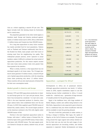Asia as a whole supplying a massive 89 per cent. This figure includes both fish farming inland (in freshwater) and in coastal areas.

The proportion generated in the other world regions is therefore small. Europe and America produced approximately 2.5 million tonnes each in 2010, Africa a little below 1.3 million tonnes and Oceania less than 200,000 tonnes.

For a long time aquaculture in many Asian countries has mainly provided food for local populations. Nations such as Thailand and Vietnam traditionally farm fish in the flooded rice fields; many people catch their lunch or evening meal from the neighbouring rice paddy. This widespread peasant practice, never captured in actual numbers, makes it difficult to estimate the actual extent of aquaculture production. For this reason experts assume that some Asian states produce totals even greater than those quoted in the statistics.

What is certain, however, is that aquaculture has not developed equally in all Asian states. The 10 largest producers alone generate 53 million tonnes, a massive 86 per cent of global aquaculture production, with the remaining Asian states producing only about 1.5 million tonnes. These countries still use only small amounts of farmed fish for their own consumption needs.

#### **Modest growth in America and Europe**

Between 1970 and 2000 aquaculture production in America and Europe grew by 4 to 5 per cent per annum. Since then it has increased by a moderate 1 to 2 per cent a year. Chile is the most important producer in America, since major salmon farms were established there over the last 20 years. In 2010 Chile supplied a good 700,000 tonnes of farmed fish, mainly salmon. The second largest producer on the American continent is the USA with slightly under 500,000 tonnes of fish.

Norway is the most important aquaculture nation in Europe, with about 1 million tonnes of farmed fish, followed by Spain with a good 250,000 tonnes; France takes third place with 220,000 tonnes. The main aquatic products farmed in Europe are salmon, rainbow trout, eel and carp.

| World       | <b>Tonnes</b> | Percentage |
|-------------|---------------|------------|
| China       | 36,734,215    | 61.35      |
| India       | 4,648,851     | 7.76       |
| Vietnam     | 2,671,800     | 4.46       |
| Indonesia   | 2,304,824     | 3.85       |
| Bangladesh  | 1,308,515     | 2.19       |
| Thailand    | 1,286,122     | 2.15       |
| Norway      | 1,008,010     | 1.68       |
| Egypt       | 919,585       | 1.54       |
| Myanmar     | 850,697       | 1.42       |
| Philippines | 744,695       | 1.24       |
| Others      | 7,395,281     | 12.35      |
| Total       | 59,872,600    | 100.00     |

**4.2 > Asia dominates world aquaculture. The total output of the top ten producer countries worldwide is shown. The amounts of farmed algae and aquaculture products not used as food are not included**

### **Aquaculture – a prospect for Africa?**

Developments in Africa are of paramount interest. Although aquaculture production was barely 1.3 million tonnes in 2010, experts nonetheless expect to see fish farming become further established in Africa. It would enable the – relatively easy – generation of large amounts of valuable protein for the growing population.

Egypt is the trailblazer here, with large numbers of finfish (tilapias, mullets and catfish) being farmed in the Nile Delta. Aquaculture is also expected to grow wherever fish is a traditional food, but where insufficient wild fish will be available to meet the growing demand.

The lack of wild fish, particularly in urban centres, is forcing a change in thinking. Take Lagos, the capital of Nigeria, on the Gulf of Guinea as an example. The people living around the Lagos Lagoon have always farmed catfish for their own use, but now the early stages of commercial aquaculture are becoming evident, and further expansion is expected. Similar developments are being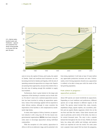

**4.3 > Marine water, brackish water and freshwater – aquaculture production has shown strong growth in all areas over the past 30 years.**

> seen in Accra, the capital of Ghana, and Lusaka, the capital of Zambia. Small and medium-sized businesses are also becoming involved in Zambia and Uganda, with the aim of operating commercial aquaculture on a large scale. Experts are praising these approaches, because they believe this is the only way of making enough fish available to supply local markets.

> Furthermore, there is great interest in the large-scale expansion of fish farming in countries such as South Africa. For about 5 years now a national aquaculture association has been involved in setting up aquaculture operations. Some of the technology applied will be exported to other African nations, although in some countries the importation of the facilities is still complicated by exorbitantly high duties.

> In many other regions of Africa, however, an aquaculture industry is still a long way off. For this reason nongovernmental organizations (**NGOs**) have been trying for some years to encourage aquaculture among individual communities.

> With the exception of a few nations, aquaculture in Africa is still at an embryonic stage, and its potential is far

from being exploited. It will take at least 10 years before any appreciable production increases are seen. Unfortunately, even if strong expansion should occur, aquaculture is unlikely to be able to keep pace with the needs of the fast-growing population.

# **From salmon to pangasius – aquaculture products**

About 600 species are raised worldwide by aquaculture. Depending on local traditions and preferences, different species are in high demand in different regions of the world. The species raised include fish, crabs, mussels, amphibians (frogs), aquatic reptiles, sea cucumbers, jellyfish and sea squirts (fleshy organisms which live on the sea floor and filter the water). China farms mussels and carp in particular, and in terms of the latter, has done so for several thousand years. The carp is also a popular farmed fish throughout the rest of Asia. Finfish are found here, too, along with catfish and shrimps, and prawns which are exported all over the world. For some years now a popular Asian export fish has been the pangasius,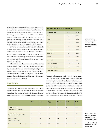of which there are several different species. These catfish are white-fleshed, neutral-tasting and almost bone-free. At first it was necessary to catch juvenile fish in the wild for breeding purposes, but in the early 1990s a French-Vietnamese project succeeded in breeding two types of pangasius in captivity. Only then was it possible to breed the fish in large numbers, allowing its export on a grand scale. Today the export of pangasius is a global winner.

In Europe, however, the farming of mainly salmonids is preferred, including salmon and trout along with turbot and mussels. Only small numbers of carp and other finfish are bred in captivity. In the past 10 years production of sea bass, common dentex and gilthead seabream has expanded, particularly in Greece, Italy and Turkey, mostly in net cages in coastal bays.

Salmonids are also the dominant group of farmed fish in South America, mainly in Chile, followed in equal parts by shrimps, prawns and mussels. Shrimps and prawns, catfish, mussels and salmonids are farmed in North America, mainly in Canada. Tilapia, catfish and other finfish are of particular interest in Africa, while shrimps and prawns predominate in Oceania.

## **Algae for Asia**

The cultivation of algae is less widespread than that of aquatic animals. It is only practised in about 30 countries throughout the world, predominantly in Asia. In most cases cultivation is of large algae such as kombu *(Laminaria* 

| Aquaculture production (Million tonnes) |       |       |  |
|-----------------------------------------|-------|-------|--|
| Species group                           | 2003  | 2008  |  |
| Carps                                   | 15.04 | 19.72 |  |
| Catfish                                 | 1.03  | 2.78  |  |
| <b>Tilapias</b>                         | 1.59  | 2.80  |  |
| Fels                                    | 0.32  | 0.48  |  |
| Salmonids                               | 1.85  | 2.26  |  |
| Other finfish                           | 4.40  | 5.79  |  |
| <b>Bivalves</b>                         | 11.06 | 12.65 |  |
| Gastropods                              | 0.21  | 0.37  |  |
| Crabs and lobsters                      | 0.49  | 0.76  |  |
| Shrimps and prawns                      | 2.59  | 4.35  |  |
| Other invertebrates                     | 0.12  | 0.31  |  |
|                                         |       |       |  |

**4.4 > In terms of aquaculture production, carp is the most important fish worldwide.**

*japonica)*, a Japanese seaweed which is several metres long. It is now farmed mainly in marine water and brackish water along the coast of China. Kombu is often used as a soup ingredient. Although the 19 million tonnes of algae produced in 2010 was much less than farmed aquatic animals, nonetheless its growth rate has been similarly strong in recent years – an average of 9.5 per cent per annum during the 1990s and 7.4 per cent in the past decade. In 1990 global algae production was 3.8 million tonnes. The most

|                                                  | <b>Milk</b> | Carp | Eggs | Chicken | Pork | <b>Beef</b> |
|--------------------------------------------------|-------------|------|------|---------|------|-------------|
| Feed conversion<br>(kg of feed/kg live weight)   | 0.7         | 1.5  | 3.8  | 2.3     | 5.9  | 12.7        |
| Feed conversion<br>(kg of feed/kg edible weight) | 0.7         | 2.3  | 4.2  | 4.2     | 10.7 | 31.7        |
| Protein content<br>(% of edible weight)          | 3.5         | 18   | 13   | 20      | 14   | 15          |
| Protein conversion efficiency (%)                | 40          | 30   | 30   | 25      | 13   | 5           |

**4.5 > Fish can convert feed into body mass much more efficiently than birds or mammals. They provide a great deal more mass per kilogram of feed.**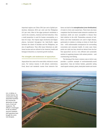important regions are China (58.4 per cent of global production), Indonesia (20.6 per cent) and the Philippines (9.5 per cent). Most of the algae produced worldwide is used in the cosmetics, chemical and food industries. Only a small proportion is used for human consumption, as a base for soups. The tropical algae *Eucheuma* and *Kappaphycus*, harvested throughout the Indo-Pacific region between the island of Zanzibar and the Philippines, are also of significance. They offer many fishermen an additional income and are utilized in the chemical, health and biological industries as a bacterial growth medium.

## **The strengths and weaknesses of aquaculture**

Aquaculture has come in for some hefty criticism in recent years. For various reasons it still attracts controversy. Food, faecal and metabolic wastes from intensive fish

farms can lead to the **eutrophication (over-fertilization)** of water in rivers and coastal bays. There have also been complaints that fish farmed under intensive conditions for maximum yields are more susceptible to disease than their relatives in the wild. Tremendous amounts of antibiotics and other medications are used to fight disease, particularly in relation to shrimp on farms in South East Asia – with unforeseeable consequences for surrounding ecosystems and consumer health. In some cases these points are valid, but they should not detract from the fact that aquaculture can be a very efficient and sustainable method of supplying humans with animal proteins – and counteracting over-fishing.

The farming of the classic common carp or mirror carp provides a positive example of environmentally-sound aquaculture. Carp are bottom feeders, generally eating small aquatic animals, plants, dead plant matter and waste



**4.6 > In Belize, in Central America, the construction of huge aquaculture facilities has involved the destruction of large tracts of land and mangroves. The effluent is discharged to the sea without any prior treatment. Such operations have brought the sector into disrepute.**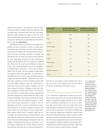material which gather on the pond floor. They also sieve the water to extract suspended solids, thus helping to keep the water clean. Carp ponds often have very clear water. Intensive mussel farming also helps to keep the water clean. Mussels filter large amounts of water, sieving out tiny particles of food, thus counteracting the over-fertilization of water and **algal blooms.** 

Although the nutrient-rich effluents from aquaculture facilities can lead to problems in rivers or coastal areas, nonetheless many fish farms are more environmentallyfriendly than, for instance, the intensive farming of pigs or cattle. The latter emit large quantities of nitrogen and phosphorus from the slurry and manure used to fertilize the land. Aquaculture produces far lower emissions of nitrogen and phosphorus and can roughly be compared with those from the much less problematic farming of poultry. This is made abundantly clear by the example of the Mekong Delta. Only about 1 to 2 per cent of nutrient inflows into the delta come from pangasius aquaculture. The majority comes from agriculture, the production of vegetables and fruit as well as from untreated municipal sewage and industrial effluent. Aquaculture also scores well when compared to livestock breeding because fish and other aquatic organisms need less nourishment to build body mass than land animals. Therefore a lot less feed is required to produce 1 kilogram of carp than to produce 1 kilogram of chicken, beef or pork. One reason for this is that fish are cold-blooded creatures, meaning that their body temperature is approximately the same as that of their surroundings. They therefore need far less energy to produce heat than warm-blooded mammals or birds. Also, it takes greater expenditure of energy to move on land than in the water. As water is denser than air, it provides buoyant lift to the body, meaning that fish are supported without the development of heavy skeletal mass. Many marine animals such as mussels, snails and sea cucumbers also manage without an internal skeleton. This saves them the energy they would otherwise use to build bones. Fish have another energy advantage, too: they are capable of releasing into the water (as ammonium, a simple chemical compound) any surplus nitrogen they may have absorbed with their food. In contrast, land-based ani-

| Commodity          | Nitrogen emissions<br>(kg/tonne protein produced) | Phosphorus emissions<br>(kg/tonne protein produced) |
|--------------------|---------------------------------------------------|-----------------------------------------------------|
| Beef               | 1200                                              | 180                                                 |
| Pork               | 800                                               | 120                                                 |
| Chicken            | 300                                               | 40                                                  |
| Fish (average)     | 360                                               | 102                                                 |
| <b>Bivalves</b>    | $-27$                                             | $-29$                                               |
| Carps              | 471                                               | 148                                                 |
| Catfish            | 415                                               | 122                                                 |
| Other finfish      | 474                                               | 153                                                 |
| Salmonids          | 284                                               | 71                                                  |
| Shrimps and prawns | 309                                               | 78                                                  |
| Tilapia            | 593                                               | 172                                                 |

mals have to use energy to convert nitrogen into urea or uric acid. Only in this chemical form are they able to excrete the nitrogen with their faeces or urine.

## **Fish for all?**

In an international collaboration scientists have investigated whether aquaculture and commercial fishing will be capable of meeting the global demand for fish in 2050. They are optimistic, believing that yes, they can. However, this would depend upon the world's fish stocks being managed sustainably in the long term. Also, the fish used as feed in aquaculture in the form of fishmeal and fish oil must be utilized more efficiently. Scientists have also queried the predicted direct impact of climate change and ocean warming on potential marine fisheries procduction. They have concluded that the amount of wild marine fish available for fisheries worldwide will probably be redistributed due to climate change and predict a slight 6 per cent overall increase on marine fisheries potential.

**4.7 > Aquaculture emits much less nitrogen and phosphorus per tonne of produced protein than livestock farming. Farmed mussels even lower nitrogen and phosphorus levels as they filter the water. However, this also means that mussels from highly polluted waters can themselves contain high nitogen and phosphor levels.**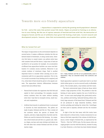# Towards more eco-friendly aquaculture

 **> Aquaculture is expected to satisfy the growing world population's demand for fish – and at the same time protect ocean fish stocks. Hopes are pinned on farming as an alternative to over-fishing. But the use of copious amounts of feed derived from wild fish, the destruction of mangrove forests and the use of antibiotics have given fish farming a bad name. Current research and development projects, however, show that environmentally-sound aquaculture systems are possible.**

## **What do farmed fish eat?**

The impact of aquaculture on the environment depends on several factors. It makes a difference whether the fish are farmed inland in freshwater, or along coastal areas. Intensive fish farms in coastal waters can pollute entire bays with uneaten food and fish faeces. Large areas of land are sacrificed to set up ponds, for example. An accumulation of effluent from aquaculture facilities can cause over-fertilization if it contains excess nutrients. Moreover it can contain residues of veterinary drugs. Feed is another important factor to consider when carrying out an environmental audit for an aquaculture operation. First of all, it is crucial to ascertain if any feeding at all is required, and if so, what kind of feed should be given to the aquatic animals. The aquaculture industry differentiates between natural feed and artificial feed.

- Natural feed includes the organisms that fish find and exploit in their surroundings. For example, mussels extract nutrients from the water without needing extra food. Carp feed on mosquito larvae, small mussels and zooplankton.
- Artificial feed (mostly in pelletized form) is processed in factories by feed manufacturers. The pellets are made of grain, fishmeal and fish oil. They contain all the nutrients which the species of farmed fish requires, and also a high proportion of protein and fat. Pellets are used for intensive fish farming – by companies which breed and sell fish on a grand scale. Salmon, tilapia, sea bass and some shrimps and lobster are fed with diets that contain fishmeal and fish oil from marine origin.



**4.8 > Today fishmeal and fish oil are predominantly used in aquaculture. They are extracted mainly from anchovies and sardines.**

Small aquaculture operators in particular tend to use feed which either grows or can be sourced locally at affordable prices. This includes plants, crop residues and fish waste.

The most controversial types of feed are those which contain a high proportion of fish. The problem is that the farming of some species requires the use of wild fish as feed – in most cases small pelagic fish, particularly anchovies, sardines and herring. Salmonid farming utilizes relatively large amounts of fish-based feed. Fishmeal and fish oil are produced in large industrial facilities, which involves grinding and boiling the whole fish. Centrifuges are then used to separate, dewater and dry the resultant mass.

In light of the fact that many wild fish stocks have been reduced to critical levels, it seems nonsensical to use them as fish feed, especially if the volume of wild fish produces a lower weight of farmed fish, as expressed by the "Fish In – Fish Out" (FIFO) ratio. For this reason critics are urging people to eat the wild fish directly, instead of using it as feed. However, so far there has been limited demand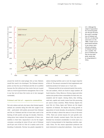

**4.9 > Although the output of aquaculture has increased greatly over the past 30 years, the sector's consumption of fishmeal and fish oil is at about the same level as in the 1980s. Greater use of plant-based nutrients is one reason; more efficient utilization of fishmeal and fish oils is another. The price of fishmeal and fish oils has multiplied, mainly due to rising demand in China.**

around the world for small pelagic fish as food. Markets would first need to be developed. The fishmeal industry points out that the use of fishmeal and fish oil is justified because the fish utilized are from stocks that are in good state as a result of good fisheries management. But it is fair to say that not all these fish stocks are in fact managed sustainably.

#### **Fishmeal and fish oil – expensive commodities**

Not only salmon and eels, but many other farmed aquatic animals are currently being fed with fish caught in the wild – particularly with pellets processed from fishmeal and fish oil. Fishmeal and fish oil have been used in the farming of both poultry and pigs for decades. However, rising prices have reduced the proportion of these commodities in their feed. Aquaculture is by far the largest consumer, accounting for about 60 per cent of fishmeal and 81 per cent of fish oil. Fish oil is mainly used in the breeding of salmonids. Norway has greatly expanded its

salmon farming facilities and is now the largest importer of fish oil. The amount consumed in food supplements and medicinal products for human use is 13 per cent.

Fishmeal and fish oil are extracted mainly from anchovies and sardines, which are found in large numbers off South America. China, Morocco, Norway, Japan and other nations also produce these commodities for their own consumption and for export. Among others, blue whiting, sand eels, capelin and sundry waste from fish processing are used in these countries. While Norway imports the most fish oil, China, Japan and Taiwan are the largest importers of fishmeal. Yet despite the strong growth in aquaculture of recent decades, the production of fishmeal and fish oil today is almost the same as it was in the early 1970s. There are several reasons for such growth combined with virtually constant inputs. First, the price for fishmeal has increased considerably in recent years as a result of strong demand in the importing countries, especially China. For this reason aquaculture producers are more interested in using feed substitutes – from crops for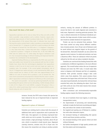#### **How much fish does a fish need?**

Aquaculture operators aim to raise as many fish as they can with as little feed as possible. Large predators such as salmon, however, require comparatively large amounts of feed to produce body mass. The FIFO ratio is the measurement of the amount they need. It indicates how much wild fish must be used as animal feed in order to produce an equivalent weight unit of farmed fish. If 1 kilogram of wild fish is used to produce the feeds of 1 kilogram of farmed fish, the FIFO ratio is 1 (1 kilogram/1 kilogram = 1). Any value more than 1 means that more than 1 kilogram of wild fish is required to produce 1 kilogram of farmed fish. In the mid-1990s the FIFO ratio for salmon was 7.5, while today the figure is between 3 and 0.5. Our increased knowledge of efficient feeding and improved feed formulations has contributed to this development.

Improved feeding efficiency as expressed by the FIFO ratio saves fishmeal and enables more farmed fish to be produced with less fish in feeds. Studies have shown that this technological adaptation from aquaculture industry is vital if we are to meet current and even larger per capita consumption rates. For example, if the current global consumption rate of fish of 17 kilogram per capita and year is to be maintained by 2050, aquaculture would have to reduce its FIFO ratio from approximately 0.6 in 2008 to 0.3 units of marine fish to produce a unit of farmed fish. The most recent assessments and projections indicate that this value is achievable if aquaculture continues to improve its efficiency at the current pace.

This seems to be possible – not only by optimizing feedstuffs, but also by breeding fish species which are less demanding. Catfish already achieve a ratio of 0.5, tilapia of 0.4 and milkfish, a popular fish group in Asia, a ratio of 0.2, which would mean that 5 units of cultivated milkfish are produced using one unit of marine fish.

> instance. Second, the FIFO ratio of many fish species has been reduced by the use of improved feeds or improved feeding regimes.

#### **Rapeseed in place of fishmeal?**

Scientists are working hard to reduce both the amount of additional feed used in aquaculture and in particular the FIFO ratio. One approach is to develop crop-based feedstuffs which are rich in protein. The problem is that fishmeal contains a high percentage of protein, about 60 per cent, which is essential to build muscle mass. Rapeseed *(canola),* however, contains only 20 to 25 per cent. For this reason the researchers are trying to produce protein

extracts, varying the amount of different proteins to ensure the feed is very easily digested and converted to body mass. Rapeseed is showing particular promise. This crop is utilized extensively for bioethanol (biodiesel) production: the large amounts of plant waste which accumulate would be suitable feedstock for aquaculture.

Protein can also be extracted from potatoes. Trials have been carried out using various different combinations of potato protein. Up to 50 per cent of fishmeal could be saved without any negative impact on the growth of the farmed fish. Alternative feedstuffs can also achieve the opposite result, however. So-called anti-nutrients can have a disastrous effect. These are substances which are poorly utilized by the fish and can induce metabolic disorders.

Scientists are convinced that feeding farmed fish with a combination of different ingredients is the most efficient approach. This would further reduce the use of expensive fishmeal and lower the FIFO ratio. It would make little sense to dispense with fishmeal and fish oil completely, however. Both provide essential omega-3 fatty acids which come from plankton. Fish cannot produce these themselves but ingest them with their food. If they are fed only plant-based feedstuffs, the farmed fish will lack these essential fatty acids, thus defeating the object. Such omega-3 fatty acids are one of the main reasons that consumers choose to eat fish.

More economical and environmentally-responsible feeding regimes require the following measures:

- the use of nutrients from local regions, to avoid long transportation routes;
- the improvement of processing and manufacturing methods to make the feed more nourishing and digestible, and reduce the content of anti-nutrients;
- the targeted and sparing use of fishmeal in combination with other alternative inputs;
- the increased farming of undemanding fish species which need fewer proteins and fats;
- the increased farming of fish species which are bred without fishmeal;
- the further development of high quality proteins and fats from plants and microorganisms.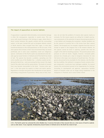# **The impact of aquaculture on marine habitats**

If aquaculture is operated indiscriminately, environmental damage is often the consequence, especially in coastal areas. This can occur with mussel farming or fish farming in cages, where there is direct contact between the aquatic animals and the surrounding waters. In the past, farmed fish such as European Atlantic salmon in North America often escaped from their cages. In time they transferred diseases to the wild populations on the US coast. If the alien species feel at home in their new environment they can breed prolifically and in some cases completely crowd out indigenous species. Cultivation of the Pacific oyster was abandoned some decades ago by mussel farmers in Holland and off the North Sea island of Sylt. The species has become a problem, spreading over the entire mudflat area of the Wadden Sea – a shallow coastal sea bordering the North Sea – and overrunning the blue mussel, the staple food of the eider duck and the oystercatcher. The banks of mussels have now become inaccessible to the birds. "Invasive alien species" is the term given by experts to these non-native species. Regulations in Europe now govern the introduction of new species, prescribing a long period of quarantine. Many areas of Asia, however, do not take the problem of invasive alien species nearly so seriously. For this reason experts are calling for in-depth case-bycase assessments of the potential of species becoming prevalent in a new habitat and changing the ecosystem. Another problem can be the removal of juvenile fish or fish larvae from their natural habitat. The European eel, for example, migrates from the rivers of Europe to spawn in the Sargasso Sea in the western Atlantic. As this species cannot be bred in captivity, juvenile eels must be caught in the wild for breeding purposes. The practice places extra pressure on wild eel stocks. Happily, however, increased public pressure has virtually put a stop to mangrove clearances for new fish farms in the major river estuaries of South East Asia. The mangroves also proved to be unsuitable for the industry. Like the Wadden Sea mudflats, the sediment in mangrove forests contains nitrogen compounds, in particular toxic hydrogen sulphide. For several reasons this environment proved to be inappropriate for farming. According to development aid agencies, aquaculture facilities based on brackish water are no longer being established in the mangroves in Thailand, but in areas further inland.



**4.10 > The Pacific oyster has colonized the entire Wadden Sea. It overruns the banks of blue mussels that are a vital source of food for seabirds such as eider ducks. It was originally introduced by mussel farmers in Holland and on the North Sea island of Sylt.**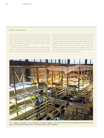### **Effluent to feed plants**

The excrement from fish farms can be used to sustain other organisms. For instance, the excretions from shrimps serve as food for large marine algae. Haddock feed on faeces particles and shrimp shells. This integrated multi-trophic aquaculture (IMTA) is now found in many different countries. It is operated mainly in breeding facilities along coastal areas.

Another type of integrated feeding used in inland breeding facilities is the aquaponic process. Effluent is used to fertilize crop plants; uneaten food, faeces and fish excreta provide the plants

with nutrients. The plants in turn clean the water, thus closing the loop. Bacteria are often a part of the system which converts the food, faeces and excreta into chemical compounds that the plants can utilize. When animals and plants are combined with skill, such aquaponic facilities can be quite self-sufficient: operators neither have to feed the fish nor process the water. Tilapia, flowers and vegetables, among others, are farmed in aquaponic facilities. To date such facilities have seldom been operated on an industrial scale. The technology still needs optimization.



**4.11 > Impressive aquaculture: fish and vegetables are produced together in this facility in the USA. Fish excrements provide nutrients for the plants. The plants purify the water. Such a closed-loop system is called "aquaponic".**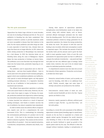## **The life cycle assessment**

Aquaculture has drawn huge criticism in recent decades, not only for its feeding of fishmeal and fish oil. The use of antibiotics in breeding has also been condemned. Fish farmed in intensive systems to provide maximum yields are more susceptible to disease than their relatives in the wild. For this reason antibiotics and other drugs are widely used, especially in South East Asia. Already there are signs that these are no longer effective. In 2011 almost the entire shrimp production in Mozambique was destroyed by a viral disease. In 2012 the infection broke out on breeding farms along the coast of Madagascar. Experts blame the mass production of shrimps on factory farms. The antibiotics can in turn find their way through the food chain into the human body, potentially impacting on consumer health.

The antibiotics used in aquaculture and on other fattening farms – and also from hospital effluent – have in recent years led to the spread of multi-resistant pathogens, against which most established antibiotics are ineffective. Only special or newly-developed agents can help against multidrug-resistant infections. It is imperative therefore that the use of antibiotics in food production is strictly monitored and restricted.

The effluent from aquaculture operations is polluting rivers and coastal waters in other areas. However, the situation varies from region to region. In Norway, for example, production methods have improved as salmon farming has intensified and professionalized. Pollution with organic wastes (excreta) has reduced as a result of improved feeding techniques. And thanks to modern vaccines the use of antibiotics has almost completely been abandoned.

In order to better assess the adverse effects of aquaculture, experts now call for a comprehensive life cycle assessment (LCA). This is a methodology for evaluating the environmental performance of a product over its full life cycle – LCAs have in the meantime become established in industry in general. They analyse all the environmental effects of a product – from raw material extraction, to production, transportation, utilization and, finally, recycling.

Among other aspects of aquaculture operation, eutrophication (over-fertilization) needs to be taken into account, along with nutrient inputs, such as faecesenriched effluent discharged untreated into the water from the breeding ponds. The LCA also reflects the environmental pollution created by energy generation for an aquaculture operation: the cleaner the energy production, the better the result. The amount of wild fish used for feeding is also recorded, while land consumption is another important aspect. This includes the amount of land for the facility itself, and the amount used to grow the feedstuffs to meet operation needs. Critics of such life cycle assessments for aquaculture point out that it is difficult to compare the methods of production – carp pond and hightech plant are two very different types of settings. Initial studies show, however, that such LCAs do indeed make sense for individual production methods.

A comprehensive analysis must also take into account the intensity of farm operations. Production can be broadly divided into three types:

- Extensive: natural bodies of water, such as ponds, are used for breeding, with little or no additional feedstuffs. Finfish, mussels, algae and some types of shrimps and prawns are produced by this method.
- Semi-intensive: natural bodies of water are used. Locally-sourced feedstuffs are fed to the fish. Typical species are finfish in Asia.
- Intensive: mainly operated in efficient, artificial pond systems or cages. The fish – e.g. eels from China – are fed with pellets.

According to a recent life cycle assessment of the different aquaculture systems (pond, breeding cages in coastal areas, mussels on the sea floor or suspended on a frame) and aquatic animal species throughout the world, intensive carp breeding in China is the most unsustainable. The ponds are heavily fertilized to speed up growth of the aquatic plants eaten by the carp. The effluent is often discharged without treatment, leading to eutrophication of

#### **Sustainability certificates**

Sustainability certificates are usually agreed between dealers, suppliers and producers. Environmental foundations are often involved. Such seals of approval verify that all parties concerned undertake to uphold binding social, environmental or sustainability standards. How far the specifications go depends on individual agreements. The aims are, among other things, to protect species, the environment and the water in the cultivated areas, as well as to improve social security for the employees. This includes a ban on child labour, the right to freedom of assembly as well as the right to health insurance and social insurance.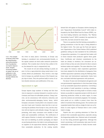

**4.12 > The example of Norway shows that the intensification and professionalization of production can lead to improvements. Despite increasing numbers of salmon, the use of antibiotics in the Norwegian salmon farming industry has**  declined.

the rivers in many places. Conversely, in Europe carp farming is considered very environmentally-friendly, as the aquatic animals are bred under extensive production methods. This is mainly due to the fact that, unlike in China, the demand for carp is comparatively low.

The results for eel and shrimp farming in ponds are poor. As far as cage production along coastal areas is concerned, finfish are problematic. They involve a very high level of energy use, partially because of the frequent supply trips in boats. They also perform badly in terms of carbon dioxide emissions and acidification of the seas.

#### **Improvement in sight**

Europe imports large numbers of shrimp and fish from Asia in response to customer demand in countries such as Germany and France for affordable products. Cheap, however, can be synonymous with intensive, industrial, and often environmentally-damaging factory farms, which European consumers would prefer to be situated in someone else's back yard. Scientists claim that this is just outsourcing the problems from Europe to Asia, and the situation will not improve until attitudes change. The signs are promising, with many consumers now mindful of food safety and sustainability certificates. The certification of wild capture fisheries is already well established. Aware that such eco-labelling on product packaging can impact on purchasing decisions, the trade is now putting pressure on suppliers in the aquaculture industry, demanding fish from sustainable production. In the coming months

farmed fish will appear on European shelves bearing the new "Aquaculture Stewardship Council" (ASC) label cofounded by the World Wide Fund For Nature (WWF), various food trading initiatives and fisheries. The "Marine Stewardship Council" (MSC) standard, the equivalent for ocean fish, has been around for many years.

There is no question that fish farming sustainability is gaining momentum or that the topic is being debated at the highest levels. Two years ago the Food and Agriculture Organization of the United Nations (FAO) published guidelines setting out clear standards for the certification of aquaculture operations. It is expected that traders will in future measure their producers against these guidelines. Certificates and voluntary commitments by the trade are already in existence, but consumers are unaware of them as they are only relevant for direct contacts between traders and suppliers. The same objectives, however, apply. For instance, trade cooperation agreements have been adopted for the distribution of pangasius from certified aquaculture operations along the Mekong Delta. Some major and international supermarket chains have also concluded individual agreements with producers.

For about 10 years now development aid agencies and non-governmental organizations in Asia have been trying to set up sustainable aquaculture operations. Converting a vast number of small operations is proving a challenge. For this reason efforts are being made to include as many farmers as possible in cooperation projects with the aim of improving production within an entire region. In some cases the solutions are extremely pragmatic. For example, extra ponds act as a buffer to protect rivers from the inflow of nutrients from farming ponds. The nutrients and suspended matter then settle as sludge for later use as fertilizer. In some regions of Vietnam there is now a brisk trade in sludge.

Experts also see a growing awareness in China for products from sustainable aquaculture, especially among the burgeoning middle class. National seals of sustainability are thus being promoted aggressively. Although this trend is promising, it will nonetheless take years for environmentally-sound aquaculture to finally become established.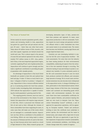# **The future of farmed fish**

Driven mainly by massive population growth, urbanization and increasing wealth in Asia, aquaculture has grown by a good 8 per cent per annum over the past 20 years – faster than any other food sector. Today about 60 million tonnes of fish, mussels, crab and other aquatic organisms are farmed around the world each year. This is almost equal to the amount of ocean fish and seafood captured in the wild, which totalled 78.9 million tonnes in 2011. Asia, particularly China, is the most important aquaculture region, currently supplying 89 per cent of global production. Aquaculture will continue to grow strongly and thus make a significant contribution to providing the global population with valuable protein.

An advantage of aquaculture is that much fewer feedstuffs are needed to farm fish and seafood than beef and pigs. It takes 15 times as much feed to produce 1 kilogram of beef as to produce 1 kilogram of carp. Aquaculture is thus a resource-efficient method per se of producing protein-rich food from animals. Current studies investigating likely developments to 2050 indicate that aquaculture is capable of satisfying the world population's growing need for fish.

This ongoing growth, however, must not come at the cost of the environment or the climate. It is problematic that aquaculture still requires large amounts of wild fish, which is processed into fishmeal and fish oil and used as feed. Although the volumes of these commodities have been stagnating for years, in some cases they still make use of fish stocks which are not managed in a sustainable manner. Aquaculture can thus still be a contributor to the problem of over-fishing. Efforts are now being made to reduce the amount of fishmeal and fish oil used in fish farming, not least because prices have soared as a result of high demand in China. Many research groups are

developing alternative types of fatty, protein-rich feed from potatoes and rapeseed. In many cases aquaculture production is still not sustainable. Facilities require too much energy and generate nutrientrich effluent which is often channelled into rivers and coastal waters in an untreated state. The waters then become over-fertilized, causing algal bloom and oxygen-deprived dead zones.

Scientists are now developing methods to analyse the full life cycle of aquaculture facilities – life cycle assessments. For some time now the industry has been testing products for their environmental compatibility, embracing all aspects from the extraction of the raw materials through to recycling. The intensive rearing of carp and shrimps in ponds is considered very harmful. It scores extremely poorly in the life cycle assessment because it uses too much feed, produces nutrient-rich effluent, and consumes large amounts of energy. Yet in recent years environmental awareness has also become more widespread in the aquaculture sector. A change of thinking is evident, particularly in the industrialized nations which import large volumes of fish from Asia. Increasingly traders and customers are demanding goods which comply with environmental standards. For some years there have been sustainability certificates for marine capture fisheries, and products bearing this label are very much in demand. Soon the "Aquaculture Stewardship Council" certificate, a seal of approval for aquaculture operations, will be appearing on European markets. Traders and producers wishing to have this certificate must undertake to protect species, the environment and the water in farmed areas, and comply with a high level of social standards. We have an opportunity to gear the further expansion of aquaculture towards sustainability. Current environmental problems, over-fishing and climate change make this a matter of urgency.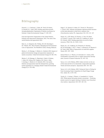# Bibliography

Deutsch, L., S. Gräslund, C. Folke, M. Troell, M. Huitric, N. Kautsky & L. Lebel, 2007. Feeding aquaculture growth through globalization: Exploitation of marine ecosystems for fishmeal. Global Environmental Change 17: 238–249.

Food and Agriculture Organization of the United Nations, Fisheries and Aquaculture Department, 2012. The state of the world fisheries and aquaculture 2012.

Hall, S.J., A. Delaporte, M.J. Phillips, M.C.M. Beveridge & M. O'Keefe, 2011. Blue Frontiers: Managing the Environmental Costs of Aquaculture. The WorldFish Center, Penang, Malaysia.

Merino, G., M. Barange, C. Mullon & L. Rodwell, 2010. Impacts of global environmental change and aquaculture expansion on marine ecosystems. Global Environmental Change 20: 586–596.

Merino, G., M. Barange, J.L. Blanchard, J. Harle, R. Holmes, I. Allen, E.H. Allison, M.C. Badjeck, N.K. Dulvy, J. Holt, S. Jennings, C. Mullon & L.D. Rodwell, 2012. Can marine fisheries and aquaculture meet fish demand from a growing human population in a changing climate? Global Environmental Change 22, 4: 795–806.

Nagel, F., H. Slawski, H. Adem, R.-P. Tressel, K. Wysujack & C. Schulz, 2012. Albumin and globulin rapeseed protein fractions as fish meal alternative in diets fed to rainbow trout (Oncorhynchus mykiss W.). Aquaculture 354–355: 121–127.

Naylor, R.L., R.W. Hardy, D.P. Bureau, A. Chiu, M. Elliott, A.P. Farrell, I. Forster, D.M. Gatlin, R.J. Goldburg, K. Hua & P.D. Nichols, 2009. Feeding aquaculture in an era of finite resources. PNAS 106, 36: 15103–15110.

Naylor, R.L., R.J. Goldburg, J.H. Primavera, N. Kautsky, M.C.M. Beveridge, J. Clay, C. Folke, J. Lubchencos, H. Mooney & M. Troell, 2000. Effect of aquaculture on world fish supplies. Nature 405: 1017–1024

Samuel-Fitwi, B., S. Wuertz, J.P. Schroeder & C. Schulz, 2012. Sustainability assessment tools to support aquaculture development. Journal of Cleaner Production 32: 183–192.

Tacon, A.G.J. & M. Metian, 2008. Global overview on the use of fish meal and fish oil in industrially compounded aquafeeds: Trends and future prospects. Aquaculture 285: 146–158.

Tacon, A.G.J. & M. Metian, 2009. Fishing for Feed or Fishing for Food: Increasing Global Competition for Small Pelagic Forage Fish. Ambio 38, 6: 294–302.

Tusche, K., S. Arning, S. Wuertz, A. Susenbeth & C. Schulz, 2012. Wheat gluten and potato protein concentrate – Promising protein sources for organic farming of rainbow trout (Oncorhynchus mykiss). Aquaculture 344–349: 120–125.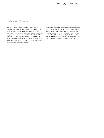# Table of figures

pp. 78/79: Franco Banfi/WaterFrame/Getty Images; fig. 4.1: after Hall et al. (2011); fig. 4.2: after FAO (2012); fig. 4.3: after FAO (2012); fig. 4.4: after Hall et al. (2011), FAO Fishstat; fig. 4.5: after Smil (2001) and Hall et al. (2011); fig. 4.6: Christian Ziegler/Minden Pictures; fig. 4.7: after Flachowsky (2002) and Hall et al. (2011); fig. 4.8: www.iffo.net; fig. 4.9: after FAO (2012), Tacon and Metian (2008); fig. 4.10: Achim Wehrmann/ dapd/ddp images; fig. 4.11: Jon Lowenstein/Noor/laif; fig. 4.12: after Asche (2008) and Hall et al. (2011)

Reproduction, translation, microfilming, electronic processing and transmission in any form or by any means are prohibited without the prior permission in writing of maribus gGmbH. All the graphics in the World Ocean Review were produced exclusively by Walther-Maria Scheid, Berlin. The list of illustrations states the original sources which were used as a basis for the preparation of the illustrations in some cases.